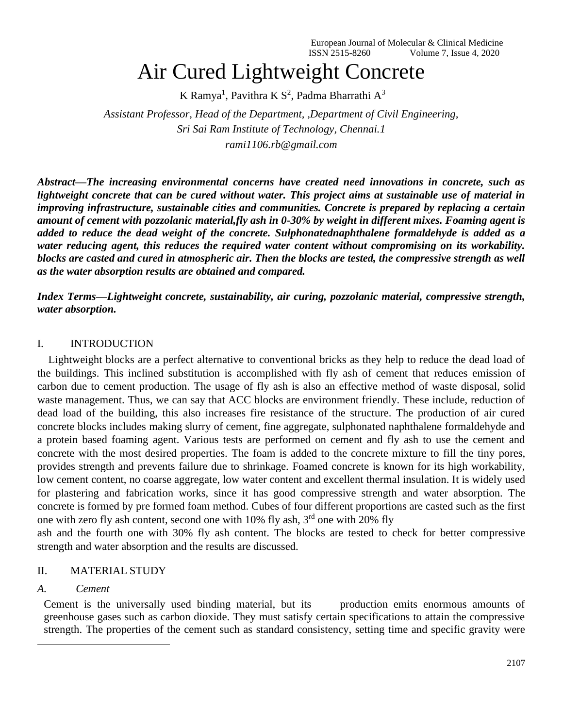# Air Cured Lightweight Concrete

K Ramya<sup>1</sup>, Pavithra K S<sup>2</sup>, Padma Bharrathi A<sup>3</sup>

*Assistant Professor, Head of the Department, ,Department of Civil Engineering, Sri Sai Ram Institute of Technology, Chennai.1 rami1106.rb@gmail.com*

*Abstract—The increasing environmental concerns have created need innovations in concrete, such as lightweight concrete that can be cured without water. This project aims at sustainable use of material in improving infrastructure, sustainable cities and communities. Concrete is prepared by replacing a certain amount of cement with pozzolanic material,fly ash in 0-30% by weight in different mixes. Foaming agent is added to reduce the dead weight of the concrete. Sulphonatednaphthalene formaldehyde is added as a water reducing agent, this reduces the required water content without compromising on its workability. blocks are casted and cured in atmospheric air. Then the blocks are tested, the compressive strength as well as the water absorption results are obtained and compared.* 

*Index Terms—Lightweight concrete, sustainability, air curing, pozzolanic material, compressive strength, water absorption.*

#### I. INTRODUCTION

 Lightweight blocks are a perfect alternative to conventional bricks as they help to reduce the dead load of the buildings. This inclined substitution is accomplished with fly ash of cement that reduces emission of carbon due to cement production. The usage of fly ash is also an effective method of waste disposal, solid waste management. Thus, we can say that ACC blocks are environment friendly. These include, reduction of dead load of the building, this also increases fire resistance of the structure. The production of air cured concrete blocks includes making slurry of cement, fine aggregate, sulphonated naphthalene formaldehyde and a protein based foaming agent. Various tests are performed on cement and fly ash to use the cement and concrete with the most desired properties. The foam is added to the concrete mixture to fill the tiny pores, provides strength and prevents failure due to shrinkage. Foamed concrete is known for its high workability, low cement content, no coarse aggregate, low water content and excellent thermal insulation. It is widely used for plastering and fabrication works, since it has good compressive strength and water absorption. The concrete is formed by pre formed foam method. Cubes of four different proportions are casted such as the first one with zero fly ash content, second one with 10% fly ash,  $3<sup>rd</sup>$  one with 20% fly

ash and the fourth one with 30% fly ash content. The blocks are tested to check for better compressive strength and water absorption and the results are discussed.

#### II. MATERIAL STUDY

#### *A. Cement*

Cement is the universally used binding material, but its production emits enormous amounts of greenhouse gases such as carbon dioxide. They must satisfy certain specifications to attain the compressive strength. The properties of the cement such as standard consistency, setting time and specific gravity were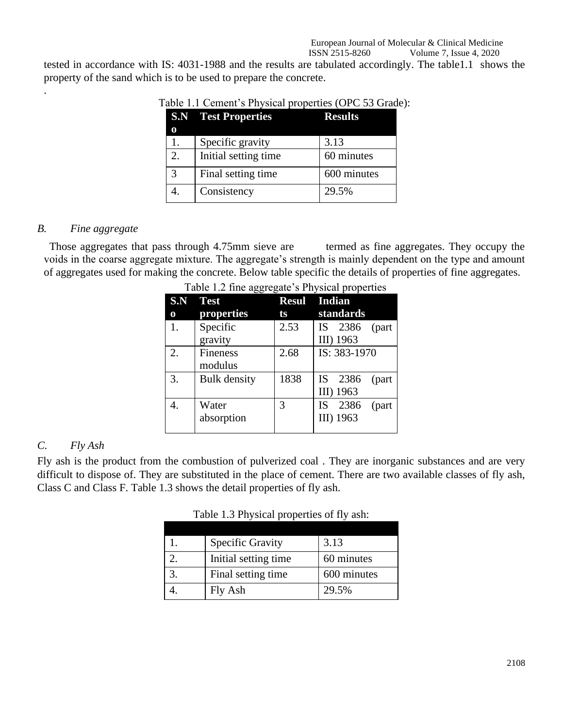tested in accordance with IS: 4031-1988 and the results are tabulated accordingly. The table1.1 shows the property of the sand which is to be used to prepare the concrete.

|    | <b>S.N Test Properties</b> | <b>Results</b> |
|----|----------------------------|----------------|
|    | Specific gravity           | 3.13           |
| 2. | Initial setting time       | 60 minutes     |
| 3  | Final setting time         | 600 minutes    |
|    | Consistency                | 29.5%          |

#### Table 1.1 Cement's Physical properties (OPC 53 Grade):

#### *B. Fine aggregate*

.

Those aggregates that pass through 4.75mm sieve are termed as fine aggregates. They occupy the voids in the coarse aggregate mixture. The aggregate's strength is mainly dependent on the type and amount of aggregates used for making the concrete. Below table specific the details of properties of fine aggregates.

| S.N | ت<br><b>Test</b>    |      | Resul Indian               |
|-----|---------------------|------|----------------------------|
| 0   | properties          | ts   | standards                  |
| 1.  | Specific            | 2.53 | 2386<br><b>IS</b><br>(part |
|     | gravity             |      | III) 1963                  |
| 2.  | <b>Fineness</b>     | 2.68 | IS: 383-1970               |
|     | modulus             |      |                            |
| 3.  | <b>Bulk</b> density | 1838 | IS -<br>2386<br>(part      |
|     |                     |      | III) 1963                  |
|     | Water               | 3    | 2386<br><b>IS</b><br>(part |
|     | absorption          |      | III) 1963                  |
|     |                     |      |                            |

| Table 1.2 fine aggregate's Physical properties |  |
|------------------------------------------------|--|
|                                                |  |

## *C. Fly Ash*

Fly ash is the product from the combustion of pulverized coal . They are inorganic substances and are very difficult to dispose of. They are substituted in the place of cement. There are two available classes of fly ash, Class C and Class F. Table 1.3 shows the detail properties of fly ash.

Table 1.3 Physical properties of fly ash:

| <b>Specific Gravity</b> | 3.13        |
|-------------------------|-------------|
| Initial setting time    | 60 minutes  |
| Final setting time      | 600 minutes |
| Fly Ash                 | 29.5%       |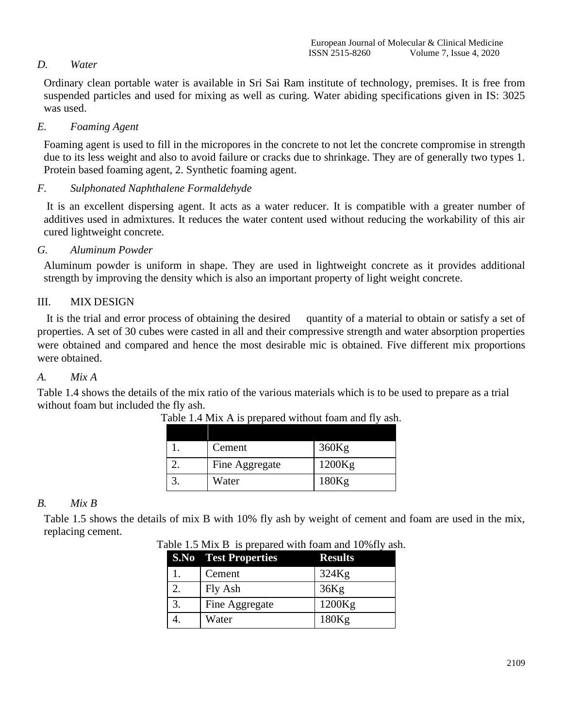# *D. Water*

Ordinary clean portable water is available in Sri Sai Ram institute of technology, premises. It is free from suspended particles and used for mixing as well as curing. Water abiding specifications given in IS: 3025 was used.

## *E. Foaming Agent*

Foaming agent is used to fill in the micropores in the concrete to not let the concrete compromise in strength due to its less weight and also to avoid failure or cracks due to shrinkage. They are of generally two types 1. Protein based foaming agent, 2. Synthetic foaming agent.

# *F. Sulphonated Naphthalene Formaldehyde*

It is an excellent dispersing agent. It acts as a water reducer. It is compatible with a greater number of additives used in admixtures. It reduces the water content used without reducing the workability of this air cured lightweight concrete.

# *G. Aluminum Powder*

Aluminum powder is uniform in shape. They are used in lightweight concrete as it provides additional strength by improving the density which is also an important property of light weight concrete.

# III. MIX DESIGN

It is the trial and error process of obtaining the desired quantity of a material to obtain or satisfy a set of properties. A set of 30 cubes were casted in all and their compressive strength and water absorption properties were obtained and compared and hence the most desirable mic is obtained. Five different mix proportions were obtained.

# *A. Mix A*

Table 1.4 shows the details of the mix ratio of the various materials which is to be used to prepare as a trial without foam but included the fly ash.

| Cement         | 360Kg  |
|----------------|--------|
| Fine Aggregate | 1200Kg |
| Water          | 180Kg  |

Table 1.4 Mix A is prepared without foam and fly ash.

# *B. Mix B*

Table 1.5 shows the details of mix B with 10% fly ash by weight of cement and foam are used in the mix, replacing cement.

| <b>S.No</b> Test Properties | <b>Results</b> |
|-----------------------------|----------------|
| Cement                      | 324Kg          |
| Fly Ash                     | 36Kg           |
| Fine Aggregate              | 1200Kg         |
| Water                       | 180Kg          |

Table 1.5 Mix B is prepared with foam and 10%fly ash.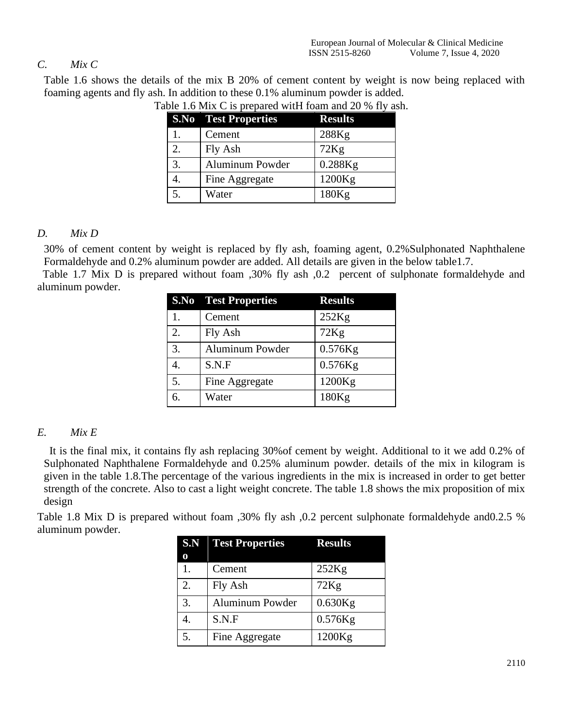# *C. Mix C*

Table 1.6 shows the details of the mix B 20% of cement content by weight is now being replaced with foaming agents and fly ash. In addition to these 0.1% aluminum powder is added.

|    | <b>S.No</b> Test Properties | <b>Results</b> |
|----|-----------------------------|----------------|
|    | Cement                      | 288Kg          |
| 2. | Fly Ash                     | 72Kg           |
| 3. | <b>Aluminum Powder</b>      | 0.288Kg        |
|    | Fine Aggregate              | 1200Kg         |
|    | Water                       | 180Kg          |

Table 1.6 Mix C is prepared witH foam and 20 % fly ash.

# *D. Mix D*

30% of cement content by weight is replaced by fly ash, foaming agent, 0.2%Sulphonated Naphthalene Formaldehyde and 0.2% aluminum powder are added. All details are given in the below table1.7.

 Table 1.7 Mix D is prepared without foam ,30% fly ash ,0.2 percent of sulphonate formaldehyde and aluminum powder.

|    | <b>S.No</b> Test Properties | <b>Results</b> |
|----|-----------------------------|----------------|
|    | Cement                      | 252Kg          |
| 2. | Fly Ash                     | 72Kg           |
| 3. | Aluminum Powder             | $0.576$ Kg     |
|    | S.N.F                       | $0.576$ Kg     |
| 5. | Fine Aggregate              | 1200Kg         |
|    | Water                       | 180Kg          |

# *E. Mix E*

 It is the final mix, it contains fly ash replacing 30%of cement by weight. Additional to it we add 0.2% of Sulphonated Naphthalene Formaldehyde and 0.25% aluminum powder. details of the mix in kilogram is given in the table 1.8.The percentage of the various ingredients in the mix is increased in order to get better strength of the concrete. Also to cast a light weight concrete. The table 1.8 shows the mix proposition of mix design

Table 1.8 Mix D is prepared without foam ,30% fly ash ,0.2 percent sulphonate formaldehyde and0.2.5 % aluminum powder.

|    | <b>S.N</b> Test Properties | <b>Results</b> |
|----|----------------------------|----------------|
|    |                            |                |
|    | Cement                     | 252Kg          |
| 2. | Fly Ash                    | 72Kg           |
| 3. | Aluminum Powder            | $0.630$ Kg     |
|    | S.N.F                      | $0.576$ Kg     |
| 5. | Fine Aggregate             | 1200Kg         |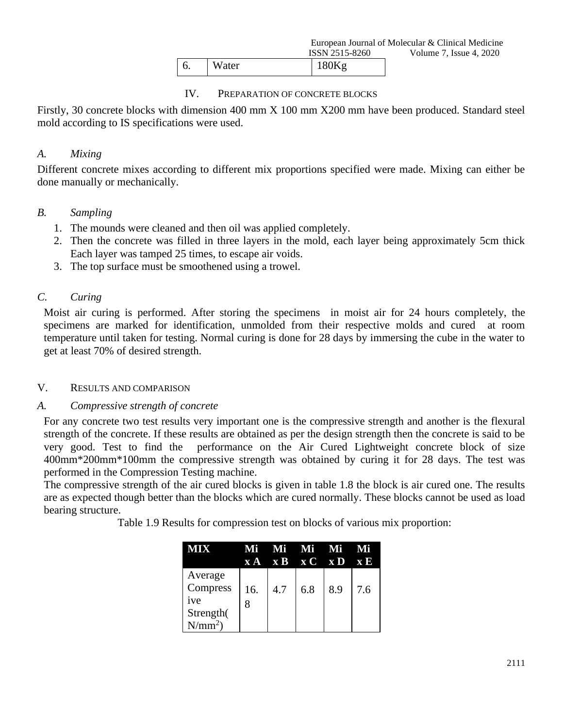|    |              | ISSIN 2313-8200 |  |  |
|----|--------------|-----------------|--|--|
| υ. | <b>Water</b> | $180K\sigma$    |  |  |

#### IV. PREPARATION OF CONCRETE BLOCKS

Firstly, 30 concrete blocks with dimension 400 mm X 100 mm X200 mm have been produced. Standard steel mold according to IS specifications were used.

## *A. Mixing*

Different concrete mixes according to different mix proportions specified were made. Mixing can either be done manually or mechanically.

#### *B. Sampling*

- 1. The mounds were cleaned and then oil was applied completely.
- 2. Then the concrete was filled in three layers in the mold, each layer being approximately 5cm thick Each layer was tamped 25 times, to escape air voids.
- 3. The top surface must be smoothened using a trowel.

#### *C. Curing*

Moist air curing is performed. After storing the specimens in moist air for 24 hours completely, the specimens are marked for identification, unmolded from their respective molds and cured at room temperature until taken for testing. Normal curing is done for 28 days by immersing the cube in the water to get at least 70% of desired strength.

#### V. RESULTS AND COMPARISON

#### *A. Compressive strength of concrete*

For any concrete two test results very important one is the compressive strength and another is the flexural strength of the concrete. If these results are obtained as per the design strength then the concrete is said to be very good. Test to find the performance on the Air Cured Lightweight concrete block of size 400mm\*200mm\*100mm the compressive strength was obtained by curing it for 28 days. The test was performed in the Compression Testing machine.

The compressive strength of the air cured blocks is given in table 1.8 the block is air cured one. The results are as expected though better than the blocks which are cured normally. These blocks cannot be used as load bearing structure.

Table 1.9 Results for compression test on blocks of various mix proportion:

|                                                     | Mfi |     | - Mi - Mi - Mi<br>$X A$ $X B$ $X C$ $X D$ |     | $\mathbf{X} \mathbf{E}$ |
|-----------------------------------------------------|-----|-----|-------------------------------------------|-----|-------------------------|
| Average<br>Compress<br>ive<br>Strength(<br>$N/mm^2$ | 16. | 4.7 | 6.8                                       | 8.9 | 7.6                     |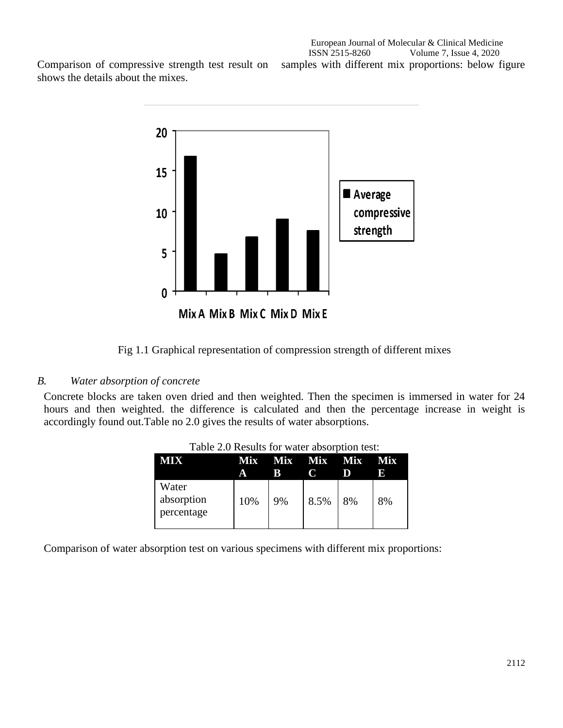shows the details about the mixes.





Fig 1.1 Graphical representation of compression strength of different mixes

#### *B. Water absorption of concrete*

Concrete blocks are taken oven dried and then weighted. Then the specimen is immersed in water for 24 hours and then weighted. the difference is calculated and then the percentage increase in weight is accordingly found out.Table no 2.0 gives the results of water absorptions.

| VIIX                              | <b>Mix</b><br>А | R  | Mix Mix Mix |    | Mix<br>n |
|-----------------------------------|-----------------|----|-------------|----|----------|
| Water<br>absorption<br>percentage | 10%             | 9% | 8.5%        | 8% | 8%       |

Table 2.0 Results for water absorption test:

Comparison of water absorption test on various specimens with different mix proportions: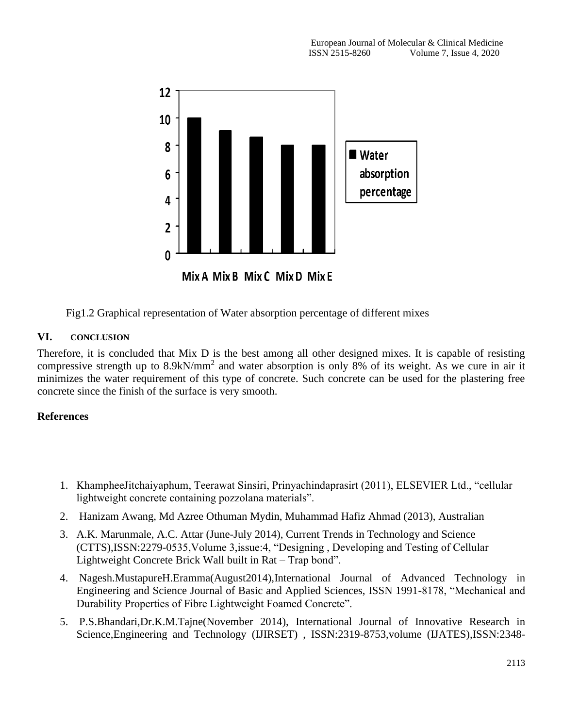

Fig1.2 Graphical representation of Water absorption percentage of different mixes

#### **VI. CONCLUSION**

Therefore, it is concluded that Mix D is the best among all other designed mixes. It is capable of resisting compressive strength up to 8.9kN/mm<sup>2</sup> and water absorption is only 8% of its weight. As we cure in air it minimizes the water requirement of this type of concrete. Such concrete can be used for the plastering free concrete since the finish of the surface is very smooth.

# **References**

- 1. KhampheeJitchaiyaphum, Teerawat Sinsiri, Prinyachindaprasirt (2011), ELSEVIER Ltd., "cellular lightweight concrete containing pozzolana materials".
- 2. Hanizam Awang, Md Azree Othuman Mydin, Muhammad Hafiz Ahmad (2013), Australian
- 3. A.K. Marunmale, A.C. Attar (June-July 2014), Current Trends in Technology and Science (CTTS),ISSN:2279-0535,Volume 3,issue:4, "Designing , Developing and Testing of Cellular Lightweight Concrete Brick Wall built in Rat – Trap bond".
- 4. Nagesh.MustapureH.Eramma(August2014),International Journal of Advanced Technology in Engineering and Science Journal of Basic and Applied Sciences, ISSN 1991-8178, "Mechanical and Durability Properties of Fibre Lightweight Foamed Concrete".
- 5. P.S.Bhandari,Dr.K.M.Tajne(November 2014), International Journal of Innovative Research in Science,Engineering and Technology (IJIRSET) , ISSN:2319-8753,volume (IJATES),ISSN:2348-